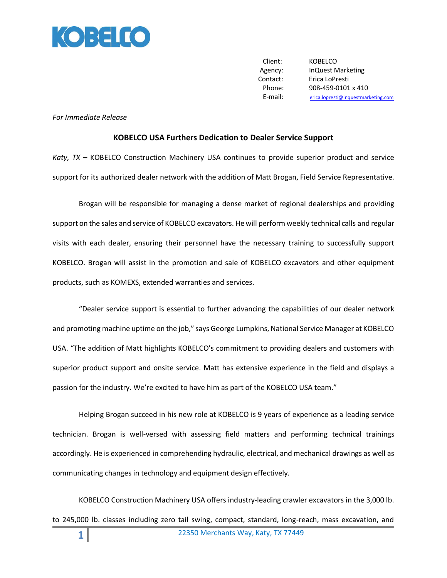

Client: KOBELCO Agency: InQuest Marketing Contact: Erica LoPresti Phone: 908-459-0101 x 410 E-mail: [erica.lopresti@inquestmarketing.com](mailto:erica.lopresti@inquestmarketing.com)

## *For Immediate Release*

## **KOBELCO USA Furthers Dedication to Dealer Service Support**

*Katy, TX* **–** KOBELCO Construction Machinery USA continues to provide superior product and service support for its authorized dealer network with the addition of Matt Brogan, Field Service Representative.

Brogan will be responsible for managing a dense market of regional dealerships and providing support on the sales and service of KOBELCO excavators. He will perform weekly technical calls and regular visits with each dealer, ensuring their personnel have the necessary training to successfully support KOBELCO. Brogan will assist in the promotion and sale of KOBELCO excavators and other equipment products, such as KOMEXS, extended warranties and services.

"Dealer service support is essential to further advancing the capabilities of our dealer network and promoting machine uptime on the job," says George Lumpkins, National Service Manager at KOBELCO USA. "The addition of Matt highlights KOBELCO's commitment to providing dealers and customers with superior product support and onsite service. Matt has extensive experience in the field and displays a passion for the industry. We're excited to have him as part of the KOBELCO USA team."

Helping Brogan succeed in his new role at KOBELCO is 9 years of experience as a leading service technician. Brogan is well-versed with assessing field matters and performing technical trainings accordingly. He is experienced in comprehending hydraulic, electrical, and mechanical drawings as well as communicating changes in technology and equipment design effectively.

KOBELCO Construction Machinery USA offers industry-leading crawler excavators in the 3,000 lb. to 245,000 lb. classes including zero tail swing, compact, standard, long-reach, mass excavation, and